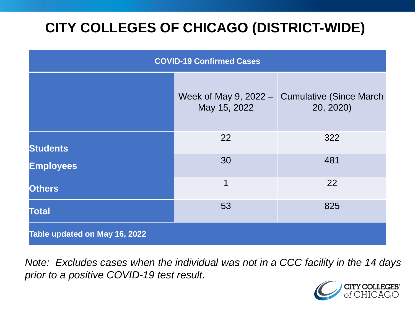# **CITY COLLEGES OF CHICAGO (DISTRICT-WIDE)**

| <b>COVID-19 Confirmed Cases</b> |                                         |                                              |
|---------------------------------|-----------------------------------------|----------------------------------------------|
|                                 | Week of May 9, $2022 -$<br>May 15, 2022 | <b>Cumulative (Since March)</b><br>20, 2020) |
| <b>Students</b>                 | 22                                      | 322                                          |
| <b>Employees</b>                | 30                                      | 481                                          |
| <b>Others</b>                   | 1                                       | 22                                           |
| <b>Total</b>                    | 53                                      | 825                                          |
| Table updated on May 16, 2022   |                                         |                                              |

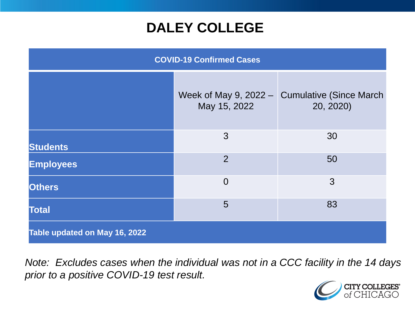### **DALEY COLLEGE**

| <b>COVID-19 Confirmed Cases</b> |                |                                                              |
|---------------------------------|----------------|--------------------------------------------------------------|
|                                 | May 15, 2022   | Week of May 9, 2022 $-$ Cumulative (Since March<br>20, 2020) |
| <b>Students</b>                 | 3              | 30                                                           |
| <b>Employees</b>                | $\overline{2}$ | 50                                                           |
| <b>Others</b>                   | $\overline{0}$ | 3                                                            |
| <b>Total</b>                    | 5              | 83                                                           |
| Table updated on May 16, 2022   |                |                                                              |

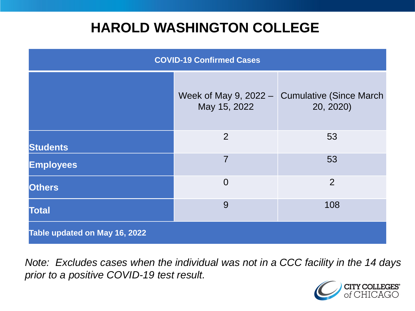### **HAROLD WASHINGTON COLLEGE**

| <b>COVID-19 Confirmed Cases</b> |                                         |                                              |
|---------------------------------|-----------------------------------------|----------------------------------------------|
|                                 | Week of May 9, $2022 -$<br>May 15, 2022 | <b>Cumulative (Since March)</b><br>20, 2020) |
| <b>Students</b>                 | $\overline{2}$                          | 53                                           |
| <b>Employees</b>                | $\overline{7}$                          | 53                                           |
| <b>Others</b>                   | $\overline{0}$                          | $\overline{2}$                               |
| <b>Total</b>                    | 9                                       | 108                                          |
| Table updated on May 16, 2022   |                                         |                                              |

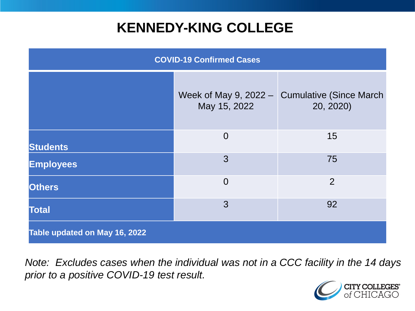### **KENNEDY-KING COLLEGE**

| <b>COVID-19 Confirmed Cases</b> |                                         |                                              |
|---------------------------------|-----------------------------------------|----------------------------------------------|
|                                 | Week of May 9, $2022 -$<br>May 15, 2022 | <b>Cumulative (Since March)</b><br>20, 2020) |
| <b>Students</b>                 | $\overline{0}$                          | 15                                           |
| <b>Employees</b>                | 3                                       | 75                                           |
| <b>Others</b>                   | $\overline{0}$                          | $\overline{2}$                               |
| <b>Total</b>                    | 3                                       | 92                                           |
| Table updated on May 16, 2022   |                                         |                                              |

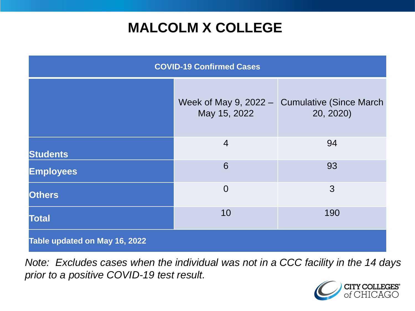# **MALCOLM X COLLEGE**

| <b>COVID-19 Confirmed Cases</b> |                                           |                                              |
|---------------------------------|-------------------------------------------|----------------------------------------------|
|                                 | Week of May 9, $2022 - 1$<br>May 15, 2022 | <b>Cumulative (Since March)</b><br>20, 2020) |
| <b>Students</b>                 | $\overline{4}$                            | 94                                           |
| <b>Employees</b>                | 6                                         | 93                                           |
| <b>Others</b>                   | $\overline{0}$                            | 3                                            |
| <b>Total</b>                    | 10                                        | 190                                          |
| Table updated on May 16, 2022   |                                           |                                              |

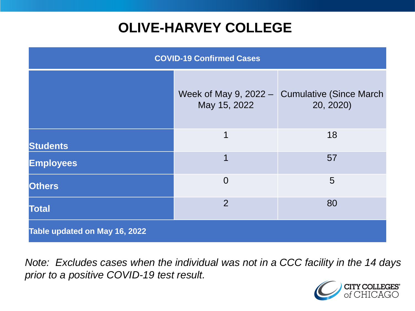# **OLIVE-HARVEY COLLEGE**

| <b>COVID-19 Confirmed Cases</b> |                                         |                                              |
|---------------------------------|-----------------------------------------|----------------------------------------------|
|                                 | Week of May 9, $2022 -$<br>May 15, 2022 | <b>Cumulative (Since March)</b><br>20, 2020) |
| <b>Students</b>                 | 1                                       | 18                                           |
| <b>Employees</b>                | 1                                       | 57                                           |
| <b>Others</b>                   | $\overline{0}$                          | 5                                            |
| <b>Total</b>                    | $\overline{2}$                          | 80                                           |
| Table updated on May 16, 2022   |                                         |                                              |

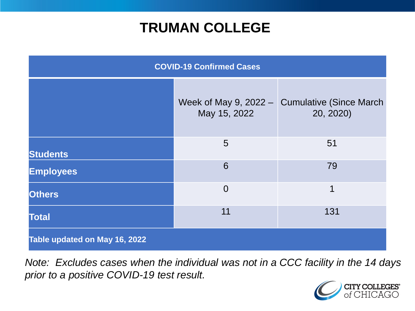### **TRUMAN COLLEGE**

| <b>COVID-19 Confirmed Cases</b> |                                           |                                              |
|---------------------------------|-------------------------------------------|----------------------------------------------|
|                                 | Week of May 9, $2022 - 1$<br>May 15, 2022 | <b>Cumulative (Since March)</b><br>20, 2020) |
| <b>Students</b>                 | 5                                         | 51                                           |
| <b>Employees</b>                | 6                                         | 79                                           |
| <b>Others</b>                   | $\overline{0}$                            | 1                                            |
| <b>Total</b>                    | 11                                        | 131                                          |
| Table updated on May 16, 2022   |                                           |                                              |

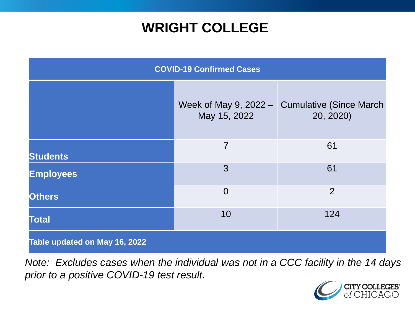### **WRIGHT COLLEGE**

| <b>COVID-19 Confirmed Cases</b> |                                         |                                              |
|---------------------------------|-----------------------------------------|----------------------------------------------|
|                                 | Week of May 9, $2022 -$<br>May 15, 2022 | <b>Cumulative (Since March)</b><br>20, 2020) |
| <b>Students</b>                 | $\overline{7}$                          | 61                                           |
| <b>Employees</b>                | 3                                       | 61                                           |
| <b>Others</b>                   | $\overline{0}$                          | $\overline{2}$                               |
| <b>Total</b>                    | 10                                      | 124                                          |
| Table updated on May 16, 2022   |                                         |                                              |

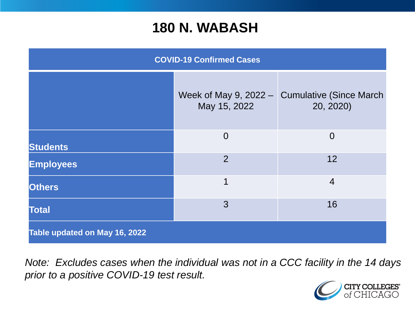#### **180 N. WABASH**

| <b>COVID-19 Confirmed Cases</b> |                                           |                                              |
|---------------------------------|-------------------------------------------|----------------------------------------------|
|                                 | Week of May 9, $2022 - 1$<br>May 15, 2022 | <b>Cumulative (Since March)</b><br>20, 2020) |
| <b>Students</b>                 | $\overline{0}$                            | $\overline{0}$                               |
| <b>Employees</b>                | $\overline{2}$                            | 12                                           |
| <b>Others</b>                   | 1                                         | $\overline{4}$                               |
| <b>Total</b>                    | 3                                         | 16                                           |
| Table updated on May 16, 2022   |                                           |                                              |